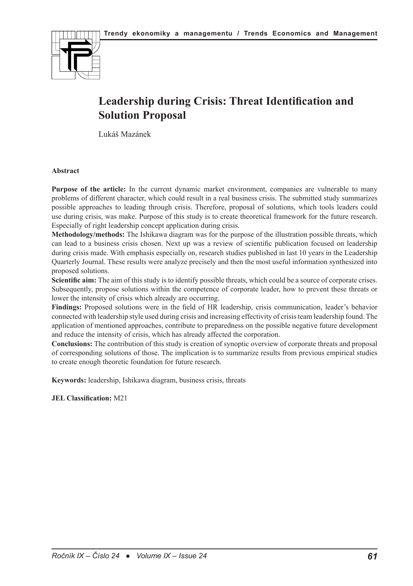

# **Leadership during Crisis: Threat Identification and Solution Proposal**

Lukáš Mazánek

#### **Abstract**

**Purpose of the article:** In the current dynamic market environment, companies are vulnerable to many problems of different character, which could result in a real business crisis. The submitted study summarizes possible approaches to leading through crisis. Therefore, proposal of solutions, which tools leaders could use during crisis, was make. Purpose of this study is to create theoretical framework for the future research. Especially of right leadership concept application during crisis.

**Methodology/methods:** The Ishikawa diagram was for the purpose of the illustration possible threats, which can lead to a business crisis chosen. Next up was a review of scientific publication focused on leadership during crisis made. With emphasis especially on, research studies published in last 10 years in the Leadership Quarterly Journal. These results were analyze precisely and then the most useful information synthesized into proposed solutions.

**Scientific aim:** The aim of this study is to identify possible threats, which could be a source of corporate crises. Subsequently, propose solutions within the competence of corporate leader, how to prevent these threats or lower the intensity of crisis which already are occurring.

**Findings:** Proposed solutions were in the field of HR leadership, crisis communication, leader's behavior connected with leadership style used during crisis and increasing effectivity of crisis team leadership found. The application of mentioned approaches, contribute to preparedness on the possible negative future development and reduce the intensity of crisis, which has already affected the corporation.

**Conclusions:** The contribution of this study is creation of synoptic overview of corporate threats and proposal of corresponding solutions of those. The implication is to summarize results from previous empirical studies to create enough theoretic foundation for future research.

**Keywords:** leadership, Ishikawa diagram, business crisis, threats

**JEL Classification:** M21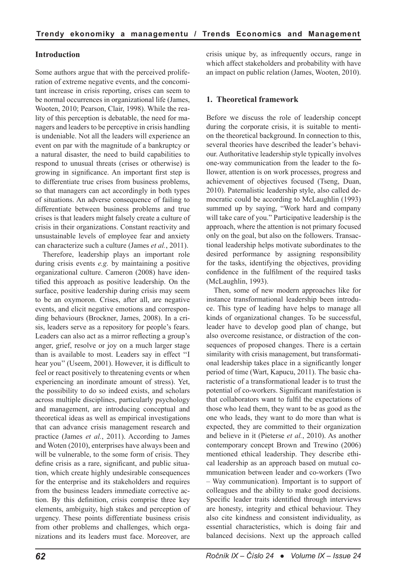# **Introduction**

Some authors argue that with the perceived proliferation of extreme negative events, and the concomitant increase in crisis reporting, crises can seem to be normal occurrences in organizational life (James, Wooten, 2010; Pearson, Clair, 1998). While the reality of this perception is debatable, the need for managers and leaders to be perceptive in crisis handling is undeniable. Not all the leaders will experience an event on par with the magnitude of a bankruptcy or a natural disaster, the need to build capabilities to respond to unusual threats (crises or otherwise) is growing in significance. An important first step is to differentiate true crises from business problems, so that managers can act accordingly in both types of situations. An adverse consequence of failing to differentiate between business problems and true crises is that leaders might falsely create a culture of crisis in their organizations. Constant reactivity and unsustainable levels of employee fear and anxiety can characterize such a culture (James *et al.*, 2011).

Therefore, leadership plays an important role during crisis events *e.g.* by maintaining a positive organizational culture. Cameron (2008) have identified this approach as positive leadership. On the surface, positive leadership during crisis may seem to be an oxymoron. Crises, after all, are negative events, and elicit negative emotions and corresponding behaviours (Brockner, James, 2008). In a crisis, leaders serve as a repository for people's fears. Leaders can also act as a mirror reflecting a group's anger, grief, resolve or joy on a much larger stage than is available to most. Leaders say in effect ''I hear you'' (Useem, 2001). However, it is difficult to feel or react positively to threatening events or when experiencing an inordinate amount of stress). Yet, the possibility to do so indeed exists, and scholars across multiple disciplines, particularly psychology and management, are introducing conceptual and theoretical ideas as well as empirical investigations that can advance crisis management research and practice (James *et al.*, 2011). According to James and Woten (2010), enterprises have always been and will be vulnerable, to the some form of crisis. They define crisis as a rare, significant, and public situation, which create highly undesirable consequences for the enterprise and its stakeholders and requires from the business leaders immediate corrective action. By this definition, crisis comprise three key elements, ambiguity, high stakes and perception of urgency. These points differentiate business crisis from other problems and challenges, which organizations and its leaders must face. Moreover, are crisis unique by, as infrequently occurs, range in which affect stakeholders and probability with have an impact on public relation (James, Wooten, 2010).

## **1. Theoretical framework**

Before we discuss the role of leadership concept during the corporate crisis, it is suitable to mention the theoretical background. In connection to this, several theories have described the leader's behaviour. Authoritative leadership style typically involves one-way communication from the leader to the follower, attention is on work processes, progress and achievement of objectives focused (Tseng, Duan, 2010). Paternalistic leadership style, also called democratic could be according to McLaughlin (1993) summed up by saying, "Work hard and company will take care of you." Participative leadership is the approach, where the attention is not primary focused only on the goal, but also on the followers. Transactional leadership helps motivate subordinates to the desired performance by assigning responsibility for the tasks, identifying the objectives, providing confidence in the fulfilment of the required tasks (McLaughlin, 1993).

Then, some of new modern approaches like for instance transformational leadership been introduce. This type of leading have helps to manage all kinds of organizational changes. To be successful, leader have to develop good plan of change, but also overcome resistance, or distraction of the consequences of proposed changes. There is a certain similarity with crisis management, but transformational leadership takes place in a significantly longer period of time (Wart, Kapucu, 2011). The basic characteristic of a transformational leader is to trust the potential of co-workers. Significant manifestation is that collaborators want to fulfil the expectations of those who lead them, they want to be as good as the one who leads, they want to do more than what is expected, they are committed to their organization and believe in it (Pieterse *et al.*, 2010). As another contemporary concept Brown and Trewino (2006) mentioned ethical leadership. They describe ethical leadership as an approach based on mutual communication between leader and co-workers (Two – Way communication). Important is to support of colleagues and the ability to make good decisions. Specific leader traits identified through interviews are honesty, integrity and ethical behaviour. They also cite kindness and consistent individuality, as essential characteristics, which is doing fair and balanced decisions. Next up the approach called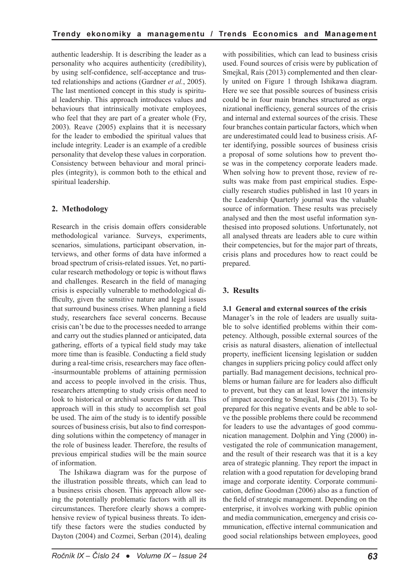authentic leadership. It is describing the leader as a personality who acquires authenticity (credibility), by using self-confidence, self-acceptance and trusted relationships and actions (Gardner *et al.*, 2005). The last mentioned concept in this study is spiritual leadership. This approach introduces values and behaviours that intrinsically motivate employees, who feel that they are part of a greater whole (Fry, 2003). Reave (2005) explains that it is necessary for the leader to embodied the spiritual values that include integrity. Leader is an example of a credible personality that develop these values in corporation. Consistency between behaviour and moral principles (integrity), is common both to the ethical and spiritual leadership.

# **2. Methodology**

Research in the crisis domain offers considerable methodological variance. Surveys, experiments, scenarios, simulations, participant observation, interviews, and other forms of data have informed a broad spectrum of crisis-related issues. Yet, no particular research methodology or topic is without flaws and challenges. Research in the field of managing crisis is especially vulnerable to methodological difficulty, given the sensitive nature and legal issues that surround business crises. When planning a field study, researchers face several concerns. Because crisis can't be due to the processes needed to arrange and carry out the studies planned or anticipated, data gathering, efforts of a typical field study may take more time than is feasible. Conducting a field study during a real-time crisis, researchers may face often- -insurmountable problems of attaining permission and access to people involved in the crisis. Thus, researchers attempting to study crisis often need to look to historical or archival sources for data. This approach will in this study to accomplish set goal be used. The aim of the study is to identify possible sources of business crisis, but also to find corresponding solutions within the competency of manager in the role of business leader. Therefore, the results of previous empirical studies will be the main source of information.

The Ishikawa diagram was for the purpose of the illustration possible threats, which can lead to a business crisis chosen. This approach allow seeing the potentially problematic factors with all its circumstances. Therefore clearly shows a comprehensive review of typical business threats. To identify these factors were the studies conducted by Dayton (2004) and Cozmei, Serban (2014), dealing with possibilities, which can lead to business crisis used. Found sources of crisis were by publication of Smejkal, Rais (2013) complemented and then clearly united on Figure 1 through Ishikawa diagram. Here we see that possible sources of business crisis could be in four main branches structured as organizational inefficiency, general sources of the crisis and internal and external sources of the crisis. These four branches contain particular factors, which when are underestimated could lead to business crisis. After identifying, possible sources of business crisis a proposal of some solutions how to prevent those was in the competency corporate leaders made. When solving how to prevent those, review of results was make from past empirical studies. Especially research studies published in last 10 years in the Leadership Quarterly journal was the valuable source of information. These results was precisely analysed and then the most useful information synthesised into proposed solutions. Unfortunately, not all analysed threats are leaders able to cure within their competencies, but for the major part of threats, crisis plans and procedures how to react could be prepared.

# **3. Results**

# **3.1 General and external sources of the crisis**

Manager's in the role of leaders are usually suitable to solve identified problems within their competency. Although, possible external sources of the crisis as natural disasters, alienation of intellectual property, inefficient licensing legislation or sudden changes in suppliers pricing policy could affect only partially. Bad management decisions, technical problems or human failure are for leaders also difficult to prevent, but they can at least lower the intensity of impact according to Smejkal, Rais (2013). To be prepared for this negative events and be able to solve the possible problems there could be recommend for leaders to use the advantages of good communication management. Dolphin and Ying (2000) investigated the role of communication management, and the result of their research was that it is a key area of strategic planning. They report the impact in relation with a good reputation for developing brand image and corporate identity. Corporate communication, define Goodman (2006) also as a function of the field of strategic management. Depending on the enterprise, it involves working with public opinion and media communication, emergency and crisis communication, effective internal communication and good social relationships between employees, good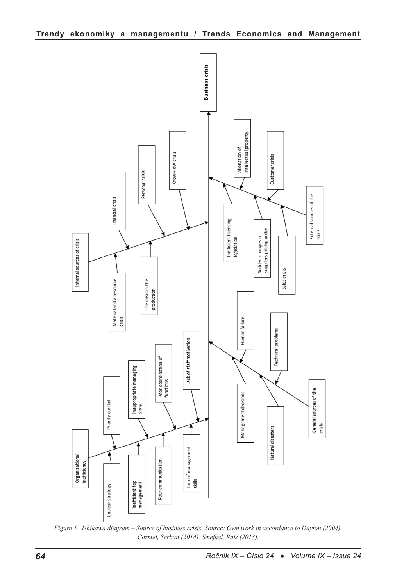

*Figure 1. Ishikawa diagram – Source of business crisis. Source: Own work in accordance to Dayton (2004), Cozmei, Serban (2014), Smejkal, Rais (2013).*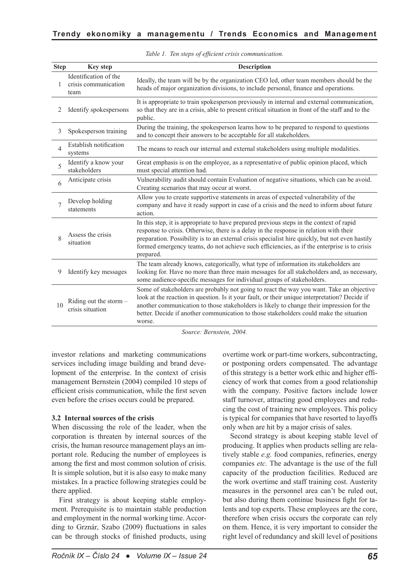| <b>Step</b>    | <b>Key step</b>                                       | <b>Description</b>                                                                                                                                                                                                                                                                                                                                                                               |
|----------------|-------------------------------------------------------|--------------------------------------------------------------------------------------------------------------------------------------------------------------------------------------------------------------------------------------------------------------------------------------------------------------------------------------------------------------------------------------------------|
| 1              | Identification of the<br>crisis communication<br>team | Ideally, the team will be by the organization CEO led, other team members should be the<br>heads of major organization divisions, to include personal, finance and operations.                                                                                                                                                                                                                   |
| 2              | Identify spokespersons                                | It is appropriate to train spokesperson previously in internal and external communication,<br>so that they are in a crisis, able to present critical situation in front of the staff and to the<br>public.                                                                                                                                                                                       |
| 3              | Spokesperson training                                 | During the training, the spokesperson learns how to be prepared to respond to questions<br>and to concept their answers to be acceptable for all stakeholders.                                                                                                                                                                                                                                   |
| $\overline{4}$ | Establish notification<br>systems                     | The means to reach our internal and external stakeholders using multiple modalities.                                                                                                                                                                                                                                                                                                             |
| $\varsigma$    | Identify a know your<br>stakeholders                  | Great emphasis is on the employee, as a representative of public opinion placed, which<br>must special attention had.                                                                                                                                                                                                                                                                            |
| 6              | Anticipate crisis                                     | Vulnerability audit should contain Evaluation of negative situations, which can be avoid.<br>Creating scenarios that may occur at worst.                                                                                                                                                                                                                                                         |
|                | Develop holding<br>statements                         | Allow you to create supportive statements in areas of expected vulnerability of the<br>company and have it ready support in case of a crisis and the need to inform about future<br>action.                                                                                                                                                                                                      |
| 8              | Assess the crisis<br>situation                        | In this step, it is appropriate to have prepared previous steps in the context of rapid<br>response to crisis. Otherwise, there is a delay in the response in relation with their<br>preparation. Possibility is to an external crisis specialist hire quickly, but not even hastily<br>formed emergency teams, do not achieve such efficiencies, as if the enterprise is to crisis<br>prepared. |
| 9              | Identify key messages                                 | The team already knows, categorically, what type of information its stakeholders are<br>looking for. Have no more than three main messages for all stakeholders and, as necessary,<br>some audience-specific messages for individual groups of stakeholders.                                                                                                                                     |
| 10             | Riding out the storm $-$<br>crisis situation          | Some of stakeholders are probably not going to react the way you want. Take an objective<br>look at the reaction in question. Is it your fault, or their unique interpretation? Decide if<br>another communication to those stakeholders is likely to change their impression for the<br>better. Decide if another communication to those stakeholders could make the situation<br>worse.        |

*Table 1. Ten steps of efficient crisis communication.*

*Source: Bernstein, 2004.*

investor relations and marketing communications services including image building and brand development of the enterprise. In the context of crisis management Bernstein (2004) compiled 10 steps of efficient crisis communication, while the first seven even before the crises occurs could be prepared.

#### **3.2 Internal sources of the crisis**

When discussing the role of the leader, when the corporation is threaten by internal sources of the crisis, the human resource management plays an important role. Reducing the number of employees is among the first and most common solution of crisis. It is simple solution, but it is also easy to make many mistakes. In a practice following strategies could be there applied.

First strategy is about keeping stable employment. Prerequisite is to maintain stable production and employment in the normal working time. According to Grznár, Szabo (2009) fluctuations in sales can be through stocks of finished products, using overtime work or part-time workers, subcontracting, or postponing orders compensated. The advantage of this strategy is a better work ethic and higher efficiency of work that comes from a good relationship with the company. Positive factors include lower staff turnover, attracting good employees and reducing the cost of training new employees. This policy is typical for companies that have resorted to layoffs only when are hit by a major crisis of sales.

Second strategy is about keeping stable level of producing. It applies when products selling are relatively stable *e.g.* food companies, refineries, energy companies *etc.* The advantage is the use of the full capacity of the production facilities. Reduced are the work overtime and staff training cost. Austerity measures in the personnel area can't be ruled out, but also during them continue business fight for talents and top experts. These employees are the core, therefore when crisis occurs the corporate can rely on them. Hence, it is very important to consider the right level of redundancy and skill level of positions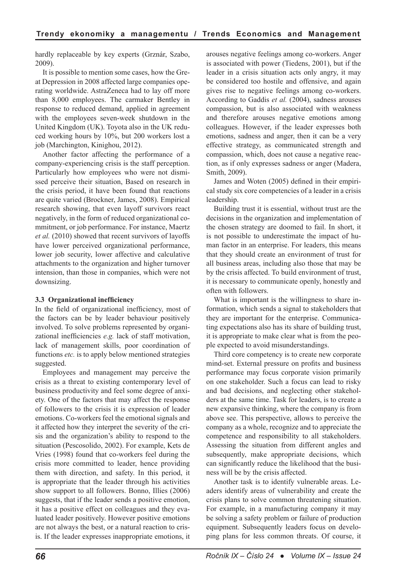hardly replaceable by key experts (Grznár, Szabo, 2009).

It is possible to mention some cases, how the Great Depression in 2008 affected large companies operating worldwide. AstraZeneca had to lay off more than 8,000 employees. The carmaker Bentley in response to reduced demand, applied in agreement with the employees seven-week shutdown in the United Kingdom (UK). Toyota also in the UK reduced working hours by 10%, but 200 workers lost a job (Marchington, Kinighou, 2012).

Another factor affecting the performance of a company-experiencing crisis is the staff perception. Particularly how employees who were not dismissed perceive their situation, Based on research in the crisis period, it have been found that reactions are quite varied (Brockner, James, 2008). Empirical research showing, that even layoff survivors react negatively, in the form of reduced organizational commitment, or job performance. For instance, Maertz *et al.* (2010) showed that recent survivors of layoffs have lower perceived organizational performance, lower job security, lower affective and calculative attachments to the organization and higher turnover intension, than those in companies, which were not downsizing.

## **3.3 Organizational inefficiency**

In the field of organizational inefficiency, most of the factors can be by leader behaviour positively involved. To solve problems represented by organizational inefficiencies *e.g.* lack of staff motivation, lack of management skills, poor coordination of functions *etc.* is to apply below mentioned strategies suggested.

Employees and management may perceive the crisis as a threat to existing contemporary level of business productivity and feel some degree of anxiety. One of the factors that may affect the response of followers to the crisis it is expression of leader emotions. Co-workers feel the emotional signals and it affected how they interpret the severity of the crisis and the organization's ability to respond to the situation (Pescosolido, 2002). For example, Kets de Vries (1998) found that co-workers feel during the crisis more committed to leader, hence providing them with direction, and safety. In this period, it is appropriate that the leader through his activities show support to all followers. Bonno, Illies (2006) suggests, that if the leader sends a positive emotion, it has a positive effect on colleagues and they evaluated leader positively. However positive emotions are not always the best, or a natural reaction to crisis. If the leader expresses inappropriate emotions, it

arouses negative feelings among co-workers. Anger is associated with power (Tiedens, 2001), but if the leader in a crisis situation acts only angry, it may be considered too hostile and offensive, and again gives rise to negative feelings among co-workers. According to Gaddis *et al.* (2004), sadness arouses compassion, but is also associated with weakness and therefore arouses negative emotions among colleagues. However, if the leader expresses both emotions, sadness and anger, then it can be a very effective strategy, as communicated strength and compassion, which, does not cause a negative reaction, as if only expresses sadness or anger (Madera, Smith, 2009).

James and Woten (2005) defined in their empirical study six core competencies of a leader in a crisis leadership.

Building trust it is essential, without trust are the decisions in the organization and implementation of the chosen strategy are doomed to fail. In short, it is not possible to underestimate the impact of human factor in an enterprise. For leaders, this means that they should create an environment of trust for all business areas, including also those that may be by the crisis affected. To build environment of trust, it is necessary to communicate openly, honestly and often with followers.

What is important is the willingness to share information, which sends a signal to stakeholders that they are important for the enterprise. Communicating expectations also has its share of building trust, it is appropriate to make clear what is from the people expected to avoid misunderstandings.

Third core competency is to create new corporate mind-set. External pressure on profits and business performance may focus corporate vision primarily on one stakeholder. Such a focus can lead to risky and bad decisions, and neglecting other stakeholders at the same time. Task for leaders, is to create a new expansive thinking, where the company is from above see. This perspective, allows to perceive the company as a whole, recognize and to appreciate the competence and responsibility to all stakeholders. Assessing the situation from different angles and subsequently, make appropriate decisions, which can significantly reduce the likelihood that the business will be by the crisis affected.

Another task is to identify vulnerable areas. Leaders identify areas of vulnerability and create the crisis plans to solve common threatening situation. For example, in a manufacturing company it may be solving a safety problem or failure of production equipment. Subsequently leaders focus on developing plans for less common threats. Of course, it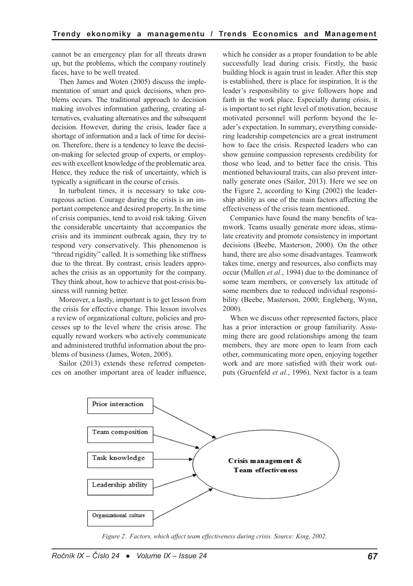cannot be an emergency plan for all threats drawn up, but the problems, which the company routinely faces, have to be well treated.

Then James and Woten (2005) discuss the implementation of smart and quick decisions, when problems occurs. The traditional approach to decision making involves information gathering, creating alternatives, evaluating alternatives and the subsequent decision. However, during the crisis, leader face a shortage of information and a lack of time for decision. Therefore, there is a tendency to leave the decision-making for selected group of experts, or employees with excellent knowledge of the problematic area. Hence, they reduce the risk of uncertainty, which is typically a significant in the course of crisis.

In turbulent times, it is necessary to take courageous action. Courage during the crisis is an important competence and desired property. In the time of crisis companies, tend to avoid risk taking. Given the considerable uncertainty that accompanies the crisis and its imminent outbreak again, they try to respond very conservatively. This phenomenon is "thread rigidity" called. It is something like stiffness due to the threat. By contrast, crisis leaders approaches the crisis as an opportunity for the company. They think about, how to achieve that post-crisis business will running better.

Moreover, a lastly, important is to get lesson from the crisis for effective change. This lesson involves a review of organizational culture, policies and processes up to the level where the crisis arose. The equally reward workers who actively communicate and administered truthful information about the problems of business (James, Woten, 2005).

Sailor (2013) extends these referred competences on another important area of leader influence, which he consider as a proper foundation to be able successfully lead during crisis. Firstly, the basic building block is again trust in leader. After this step is established, there is place for inspiration. It is the leader's responsibility to give followers hope and faith in the work place. Especially during crisis, it is important to set right level of motivation, because motivated personnel will perform beyond the leader's expectation. In summary, everything considering leadership competencies are a great instrument how to face the crisis. Respected leaders who can show genuine compassion represents credibility for those who lead, and to better face the crisis. This mentioned behavioural traits, can also prevent internally generate ones (Sailor, 2013). Here we see on the Figure 2, according to King (2002) the leadership ability as one of the main factors affecting the effectiveness of the crisis team mentioned.

Companies have found the many benefits of teamwork. Teams usually generate more ideas, stimulate creativity and promote consistency in important decisions (Beebe, Masterson, 2000). On the other hand, there are also some disadvantages. Teamwork takes time, energy and resources, also conflicts may occur (Mullen *et al.*, 1994) due to the dominance of some team members, or conversely lax attitude of some members due to reduced individual responsibility (Beebe, Masterson, 2000; Engleberg, Wynn, 2000).

When we discuss other represented factors, place has a prior interaction or group familiarity. Assuming there are good relationships among the team members, they are more open to learn from each other, communicating more open, enjoying together work and are more satisfied with their work outputs (Gruenfeld *et al.*, 1996). Next factor is a team



*Figure 2. Factors, which affect team effectiveness during crisis. Source: King, 2002.*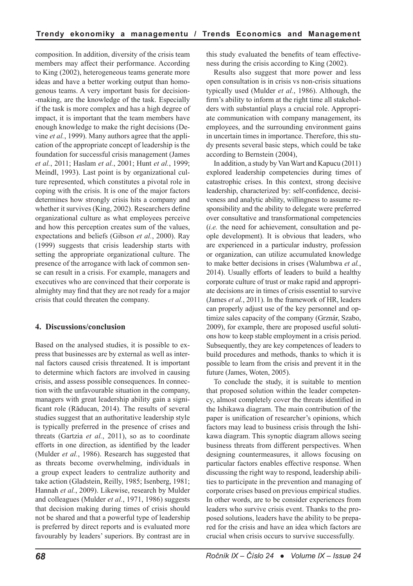composition. In addition, diversity of the crisis team members may affect their performance. According to King (2002), heterogeneous teams generate more ideas and have a better working output than homogenous teams. A very important basis for decision- -making, are the knowledge of the task. Especially if the task is more complex and has a high degree of impact, it is important that the team members have enough knowledge to make the right decisions (Devine *et al.*, 1999). Many authors agree that the application of the appropriate concept of leadership is the foundation for successful crisis management (James *et al.*, 2011; Haslam *et al.*, 2001; Hunt *et al.*, 1999; Meindl, 1993). Last point is by organizational culture represented, which constitutes a pivotal role in coping with the crisis. It is one of the major factors determines how strongly crisis hits a company and whether it survives (King, 2002). Researchers define organizational culture as what employees perceive and how this perception creates sum of the values, expectations and beliefs (Gibson *et al.*, 2000). Ray (1999) suggests that crisis leadership starts with setting the appropriate organizational culture. The presence of the arrogance with lack of common sense can result in a crisis. For example, managers and executives who are convinced that their corporate is almighty may find that they are not ready for a major crisis that could threaten the company.

## **4. Discussions/conclusion**

Based on the analysed studies, it is possible to express that businesses are by external as well as internal factors caused crisis threatened. It is important to determine which factors are involved in causing crisis, and assess possible consequences. In connection with the unfavourable situation in the company, managers with great leadership ability gain a significant role (Răducan, 2014). The results of several studies suggest that an authoritative leadership style is typically preferred in the presence of crises and threats (Gartzia *et al.*, 2011), so as to coordinate efforts in one direction, as identified by the leader (Mulder *et al.*, 1986). Research has suggested that as threats become overwhelming, individuals in a group expect leaders to centralize authority and take action (Gladstein, Reilly, 1985; Isenberg, 1981; Hannah *et al.*, 2009). Likewise, research by Mulder and colleagues (Mulder *et al.*, 1971, 1986) suggests that decision making during times of crisis should not be shared and that a powerful type of leadership is preferred by direct reports and is evaluated more favourably by leaders' superiors. By contrast are in this study evaluated the benefits of team effectiveness during the crisis according to King (2002).

Results also suggest that more power and less open consultation is in crisis vs non-crisis situations typically used (Mulder *et al.*, 1986). Although, the firm's ability to inform at the right time all stakeholders with substantial plays a crucial role. Appropriate communication with company management, its employees, and the surrounding environment gains in uncertain times in importance. Therefore, this study presents several basic steps, which could be take according to Bernstein (2004),

In addition, a study by Van Wart and Kapucu (2011) explored leadership competencies during times of catastrophic crises. In this context, strong decisive leadership, characterized by: self-confidence, decisiveness and analytic ability, willingness to assume responsibility and the ability to delegate were preferred over consultative and transformational competencies (*i.e.* the need for achievement, consultation and people development). It is obvious that leaders, who are experienced in a particular industry, profession or organization, can utilize accumulated knowledge to make better decisions in crises (Walumbwa *et al.*, 2014). Usually efforts of leaders to build a healthy corporate culture of trust or make rapid and appropriate decisions are in times of crisis essential to survive (James *et al.*, 2011). In the framework of HR, leaders can properly adjust use of the key personnel and optimize sales capacity of the company (Grznár, Szabo, 2009), for example, there are proposed useful solutions how to keep stable employment in a crisis period. Subsequently, they are key competences of leaders to build procedures and methods, thanks to which it is possible to learn from the crisis and prevent it in the future (James, Woten, 2005).

To conclude the study, it is suitable to mention that proposed solution within the leader competency, almost completely cover the threats identified in the Ishikawa diagram. The main contribution of the paper is unification of researcher's opinions, which factors may lead to business crisis through the Ishikawa diagram. This synoptic diagram allows seeing business threats from different perspectives. When designing countermeasures, it allows focusing on particular factors enables effective response. When discussing the right way to respond, leadership abilities to participate in the prevention and managing of corporate crises based on previous empirical studies. In other words, are to be consider experiences from leaders who survive crisis event. Thanks to the proposed solutions, leaders have the ability to be prepared for the crisis and have an idea which factors are crucial when crisis occurs to survive successfully.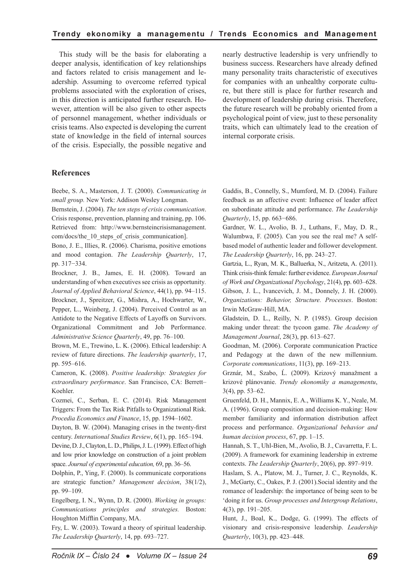This study will be the basis for elaborating a deeper analysis, identification of key relationships and factors related to crisis management and leadership. Assuming to overcome referred typical problems associated with the exploration of crises, in this direction is anticipated further research. However, attention will be also given to other aspects of personnel management, whether individuals or crisis teams. Also expected is developing the current state of knowledge in the field of internal sources of the crisis. Especially, the possible negative and nearly destructive leadership is very unfriendly to business success. Researchers have already defined many personality traits characteristic of executives for companies with an unhealthy corporate culture, but there still is place for further research and development of leadership during crisis. Therefore, the future research will be probably oriented from a psychological point of view, just to these personality traits, which can ultimately lead to the creation of internal corporate crisis.

#### **References**

Beebe, S. A., Masterson, J. T. (2000). *Communicating in small group.* New York: Addison Wesley Longman.

Bernstein, J. (2004). *The ten steps of crisis communication*. Crisis response, prevention, planning and training, pp. 106. Retrieved from: http://www.bernsteincrisismanagement. com/docs/the\_10\_steps\_of\_crisis\_communication].

Bono, J. E., Illies, R. (2006). Charisma, positive emotions and mood contagion. *The Leadership Quarterly*, 17, pp. 317−334.

Brockner, J. B., James, E. H. (2008). Toward an understanding of when executives see crisis as opportunity*. Journal of Applied Behavioral Science*, 44(1), pp. 94–115. Brockner, J., Spreitzer, G., Mishra, A., Hochwarter, W., Pepper, L., Weinberg, J. (2004). Perceived Control as an Antidote to the Negative Effects of Layoffs on Survivors. Organizational Commitment and Job Performance. *Administrative Science Quarterly*, 49, pp. 76–100.

Brown, M. E., Trewino, L. K. (2006). Ethical leadership: A review of future directions. *The leadership quarterly*, 17, pp. 595–616.

Cameron, K. (2008). *Positive leadership: Strategies for extraordinary performance*. San Francisco, CA: Berrett– Koehler.

Cozmei, C., Serban, E. C. (2014). Risk Management Triggers: From the Tax Risk Pitfalls to Organizational Risk. *Procedia Economics and Finance*, 15, pp. 1594–1602.

Dayton, B. W. (2004). Managing crises in the twenty-first century. *International Studies Review*, 6(1), pp. 165–194.

Devine, D. J., Clayton, L. D., Philips, J. L. (1999). Effect of high and low prior knowledge on construction of a joint problem space. *Journal of experimental education,* 69, pp. 36–56.

Dolphin, P., Ying, F. (2000). Is communicate corporations are strategic function*? Management decision*, 38(1/2), pp. 99–109.

Engelberg, I. N., Wynn, D. R. (2000). *Working in groups: Communications principles and strategies.* Boston: Houghton Mifflin Company, MA.

Fry, L. W. (2003). Toward a theory of spiritual leadership. *The Leadership Quarterly*, 14, pp. 693–727.

Gaddis, B., Connelly, S., Mumford, M. D. (2004). Failure feedback as an affective event: Influence of leader affect on subordinate attitude and performance. *The Leadership Quarterly*, 15, pp. 663−686.

Gardner, W. L., Avolio, B. J., Luthans, F., May, D. R., Walumbwa, F. (2005). Can you see the real me? A selfbased model of authentic leader and follower development. *The Leadership Quarterly*, 16, pp. 243–27.

Gartzia, L., Ryan, M. K., Balluerka, N., Aritzeta, A. (2011). Think crisis-think female: further evidence. *European Journal of Work and Organizational Psychology*, 21(4), pp. 603–628. Gibson, J. L., Ivancevich, J. M., Donnely, J. H. (2000). *Organizations: Behavior, Structure. Processes*. Boston: Irwin McGraw-Hill, MA.

Gladstein, D. L., Reilly, N. P. (1985). Group decision making under threat: the tycoon game. *The Academy of Management Journal*, 28(3), pp. 613–627.

Goodman, M. (2006). Corporate communication Practice and Pedagogy at the dawn of the new millennium. *Corporate communications*, 11(3), pp. 169–213.

Grznár, M., Szabo, Ĺ. (2009). Krizový manažment a krizové plánovanie. *Trendy ekonomiky a managementu*, 3(4), pp. 53–62.

Gruenfeld, D. H., Mannix, E. A., Williams K. Y., Neale, M. A. (1996). Group composition and decision-making: How member familiarity and information distribution affect process and performance. *Organizational behavior and human decision process*, 67, pp. 1–15.

Hannah, S. T., Uhl-Bien, M., Avolio, B. J., Cavarretta, F. L. (2009). A framework for examining leadership in extreme contexts. *The Leadership Quarterly*, 20(6), pp. 897–919.

Haslam, S. A., Platow, M. J., Turner, J. C., Reynolds, K. J., McGarty, C., Oakes, P. J. (2001).Social identity and the romance of leadership: the importance of being seen to be 'doing it for us. *Group processes and Intergroup Relations*, 4(3), pp. 191–205.

Hunt, J., Boal, K., Dodge, G. (1999). The effects of visionary and crisis-responsive leadership. *Leadership Quarterly*, 10(3), pp. 423–448.